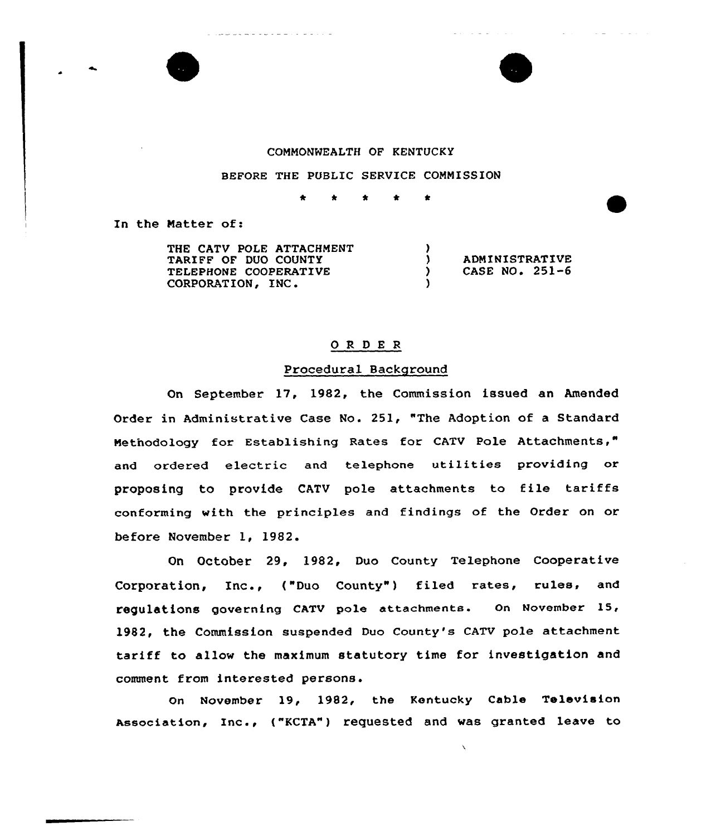

والرابات والمرابين والمرابط المرتبط المرابط المرتبين ويتوافقون



 $\sim 10^{-1}$  km  $^{-1}$ 

 $\mathcal{L}^{\mathcal{L}}$  and  $\mathcal{L}^{\mathcal{L}}$  and  $\mathcal{L}^{\mathcal{L}}$  and  $\mathcal{L}^{\mathcal{L}}$  and  $\mathcal{L}^{\mathcal{L}}$ 

 $\omega_{\rm{eff}}=1$  ,  $\omega_{\rm{eff}}=1$  ,  $\omega_{\rm{eff}}$  ,

# COMMONNEALTH OF KENTUCKY

#### BEFORE THE PUBLIC SERVICE COMMISSION

\* \* \* \*

In the Matter of:

THE CATV POLE ATTACHMENT TARIFF OF DUO COUNTY TELEPHONE COOPERATIVE CORPORATION, INC.  $\left\{ \right\}$ ) ADMINISTRATIVE<br>
) CASE NO. 251-6 CASE NO.  $251-6$ )

# ORDER

# Procedural Background

On September 17, 1982, the Commission issued an Amended Order in Administrative Case No. 251, "The Adoption of a Standard Methodology for Establishing Rates for CATV Pole Attachments," and ordered electric and telephone utilities providing or proposing to provide CATV pole attachments to file tariffs conforming with the principles and findings of the Order on or before November 1, 1982.

On October 29, 1982, Duo County Telephone Cooperative Corporation, Inc., ("Duo County") filed rates, rules, and regulations governing cATv pole attachments. on November 15, 1982, the Commission suspended Duo County's CATV pole attachment tariff to allow the maximum statutory time for investigation and comment from interested persons.

Gn November 19, 1982, the Kentucky Cable Television Association, Inc., ("KCTA") requested and was granted leave to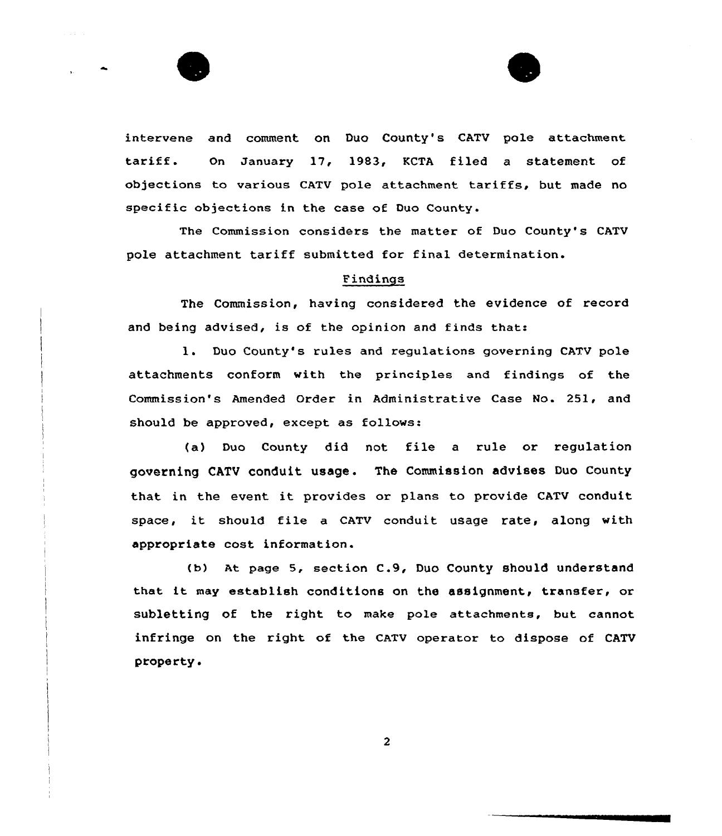



intervene and comment on Duo County's CATV pole attachment tariff. On January 17, 1983, KCTA filed <sup>a</sup> statement of objections to various CATV pole attachment tariffs, but made no specific objections in the case of Duo County.

The Commission considers the matter of Duo County's CATV pole attachment tariff submitted for final determination.

# Findings

The Commission, having considered the evidence of record and being advised, is of the opinion and finds that:

1. Duo County's rules and regulations governing CATV pole attachments conform with the principles and findings of the Commission's Amended Qrder in Administrative Case No. 251, and should be approved, except as follows:

(a) Duo County did not file <sup>a</sup> rule or regulation governing CATV conduit usage . The Commission advises Duo County that in the event it provides or plans to provide CATV conduit space, it should file a CATV conduit usage rate, along with appropriate cost information.

(b) At page 5, section C.9, Duo County should understand that it may establish conditions on the assignment, transfer, or subletting of the right to make pole attachments, but cannot infringe on the right of the CATV operator to dispose of CATV property.

 $\overline{2}$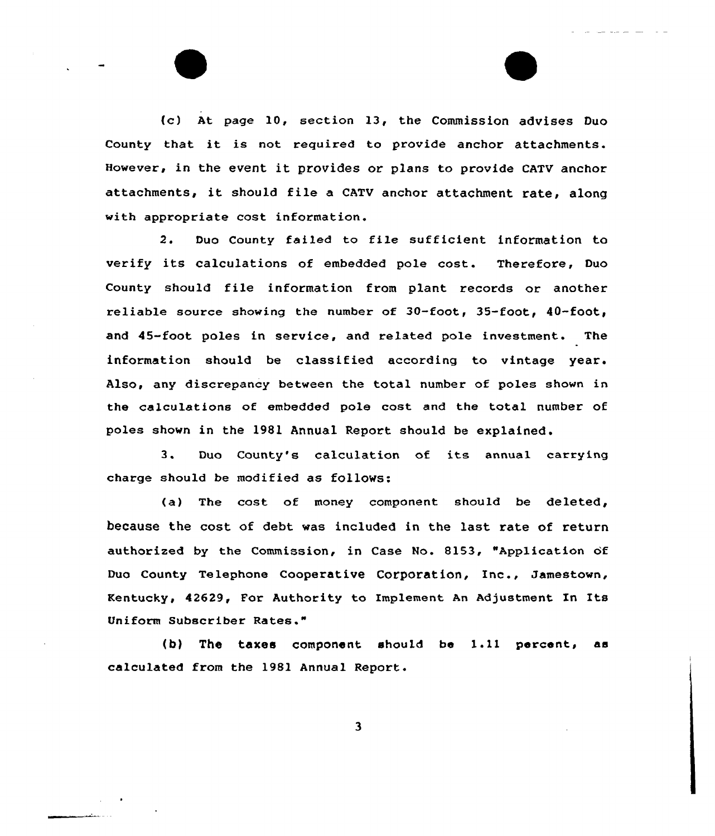{c) At page 10, section 13, the Commission advises Duo County that it is not required to provide anchor attachments. However, in the event it provides or plans to provide CATV anchor attachments, it should file <sup>a</sup> CATV anchor attachment rate, along with appropriate cost information.

2. Duo County failed to file sufficient information to verify its calculations of embedded pale cost. Therefore, Duo County should file information from plant records or another reliable source showing the number of  $30$ -foot,  $35$ -foot,  $40$ -foot, and 45-foot poles in service, and related pole investment. The information should be classified according to vintage year. Also, any discrepancy between the total number of poles shown in the calculations of embedded pole cost and the total number of poles shown in the 1981 Annual Report should be explained.

<sup>3</sup> Duo County's calculation of its annual carrying charge should be modified as follows:

(a) The cost of money component should be deleted, because the cost of debt was included in the last rate of return authorized by the Commission, in Case No. 8153, "Application of Duo county Telephone cooperative Corporation, Inc., Jamestown, Kentucky, 42629, For Authority to Implement An Adjustment In Its Uniform Subscriber Rates."

(b) The taxes component should be 1.11 percent, as calculated from the 1981 Annual Report.

 $\overline{\mathbf{3}}$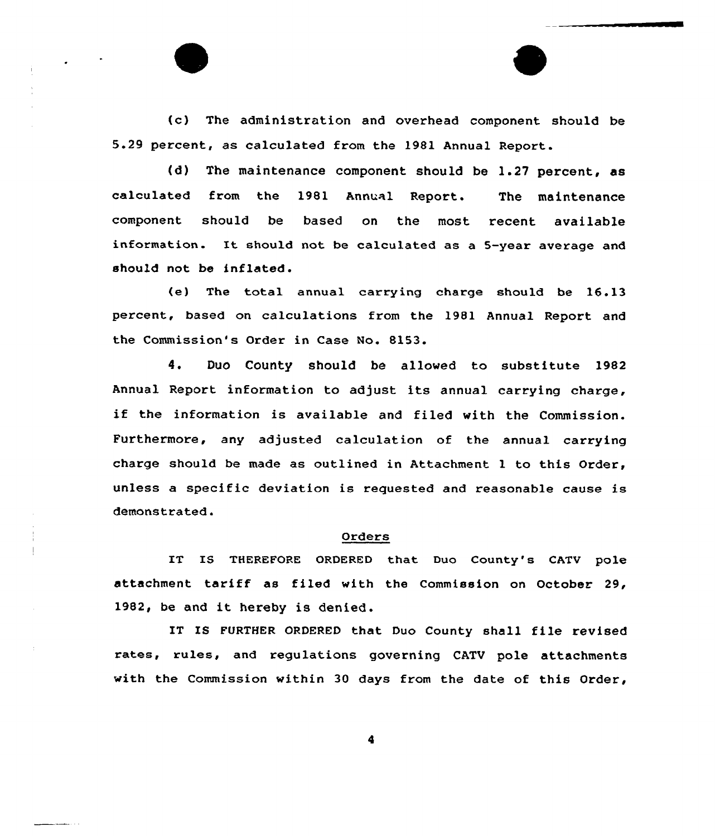(c) The administration and overhead component should be 5.29 percent, as calculated from the 1981 Annual Report.

(d) The maintenance component should be 1.27 percent, as calculated from the 1981 Annual Report. The maintenance component should be based on the most recent available information. It should not be calculated as <sup>a</sup> 5-year average and should not be inflated.

(e) The total annual carrying charge should be 16.13 percent, based on calculations from the 1981 Annual Report and the Commission's Order in Case No. 8153.

4. Duo County should be allowed to substitute 1982 Annual Report information to adjust its annual carrying charge, if the information is available and filed with the Commission. Furthermore, any adjusted calculation of the annual carrying charge should be made as outlined in Attachment 1 to this Order, unless a specific deviation is requested and reasonable cause is demonstrated

# Orders

IT IS THEREFORE ORDERED that Duo County's CATV pole attachment tariff as filed with the Commission on October 29, 1982, be and it hereby is denied.

IT IS FORTHER ORDERED that Duo County shall file revised rates, rules, and regulations governing CATV pole attachments with the Commission within 30 days from the date of this Order,

4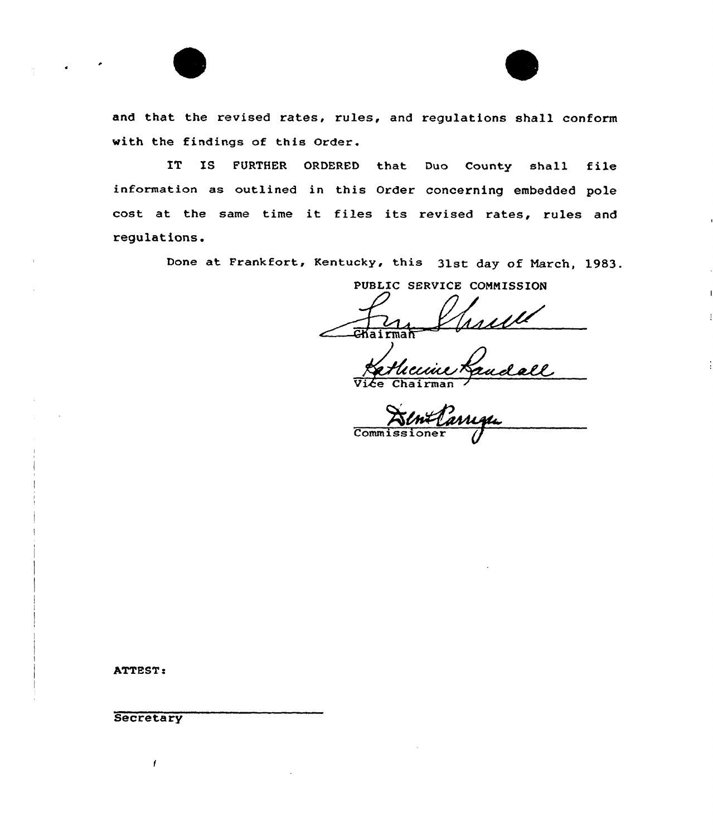

IT IS FURTHER ORDERED that Duo County shall file information as outlined in this order concerning embedded pole cost at the same time it files its revised rates, rules and regulations.

Done at Frankfort, Kentucky, this 31st day of March, 1983.

PUBLIC SERVICE CONNISSION

 $\overrightarrow{G}$ Kairma

man<br>Hiccine Randall

 $\overline{\text{Comm}}$ :

ATTEST:

**Secretary**